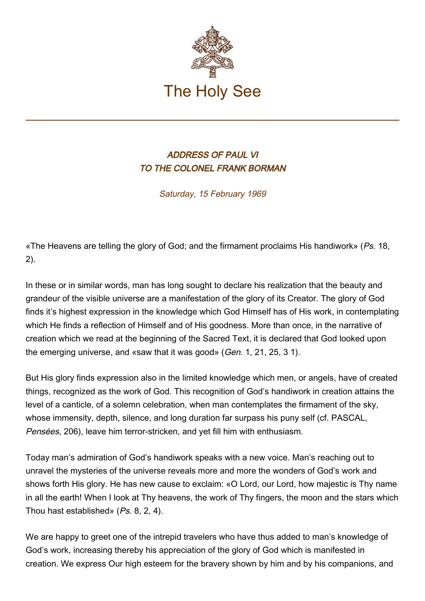

## ADDRESS OF PAUL VI TO THE COLONEL FRANK BORMAN

Saturday, 15 February 1969

«The Heavens are telling the glory of God; and the firmament proclaims His handiwork» ( $Ps$ . 18, 2).

In these or in similar words, man has long sought to declare his realization that the beauty and grandeur of the visible universe are a manifestation of the glory of its Creator. The glory of God finds it's highest expression in the knowledge which God Himself has of His work, in contemplating which He finds a reflection of Himself and of His goodness. More than once, in the narrative of creation which we read at the beginning of the Sacred Text, it is declared that God looked upon the emerging universe, and «saw that it was good» (Gen. 1, 21, 25, 3 1).

But His glory finds expression also in the limited knowledge which men, or angels, have of created things, recognized as the work of God. This recognition of God's handiwork in creation attains the level of a canticle, of a solemn celebration, when man contemplates the firmament of the sky, whose immensity, depth, silence, and long duration far surpass his puny self (cf. PASCAL, Pensées, 206), leave him terror-stricken, and yet fill him with enthusiasm.

Today man's admiration of God's handiwork speaks with a new voice. Man's reaching out to unravel the mysteries of the universe reveals more and more the wonders of God's work and shows forth His glory. He has new cause to exclaim: «O Lord, our Lord, how majestic is Thy name in all the earth! When I look at Thy heavens, the work of Thy fingers, the moon and the stars which Thou hast established» (Ps. 8, 2, 4).

We are happy to greet one of the intrepid travelers who have thus added to man's knowledge of God's work, increasing thereby his appreciation of the glory of God which is manifested in creation. We express Our high esteem for the bravery shown by him and by his companions, and